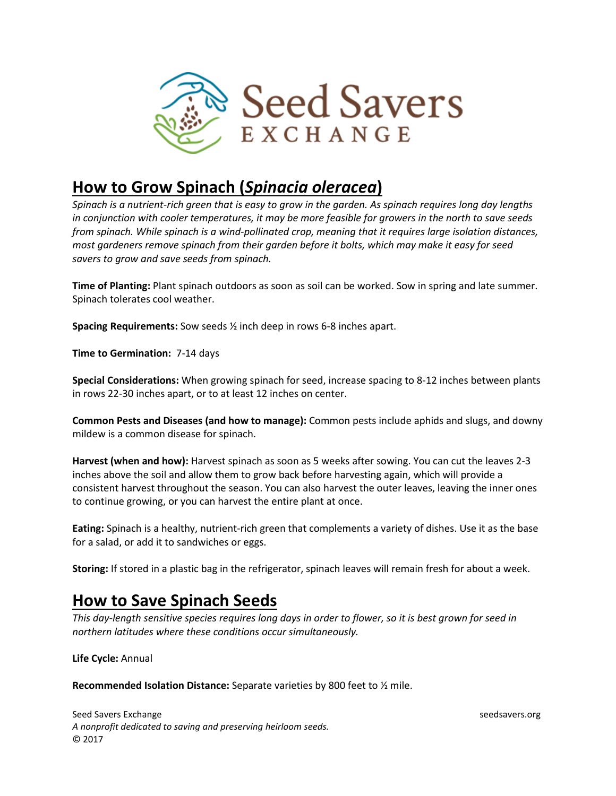

## **How to Grow Spinach (***Spinacia oleracea***)**

*Spinach is a nutrient-rich green that is easy to grow in the garden. As spinach requires long day lengths in conjunction with cooler temperatures, it may be more feasible for growers in the north to save seeds from spinach. While spinach is a wind-pollinated crop, meaning that it requires large isolation distances, most gardeners remove spinach from their garden before it bolts, which may make it easy for seed savers to grow and save seeds from spinach.*

**Time of Planting:** Plant spinach outdoors as soon as soil can be worked. Sow in spring and late summer. Spinach tolerates cool weather.

**Spacing Requirements:** Sow seeds ½ inch deep in rows 6-8 inches apart.

**Time to Germination:** 7-14 days

**Special Considerations:** When growing spinach for seed, increase spacing to 8-12 inches between plants in rows 22-30 inches apart, or to at least 12 inches on center.

**Common Pests and Diseases (and how to manage):** Common pests include aphids and slugs, and downy mildew is a common disease for spinach.

**Harvest (when and how):** Harvest spinach as soon as 5 weeks after sowing. You can cut the leaves 2-3 inches above the soil and allow them to grow back before harvesting again, which will provide a consistent harvest throughout the season. You can also harvest the outer leaves, leaving the inner ones to continue growing, or you can harvest the entire plant at once.

**Eating:** Spinach is a healthy, nutrient-rich green that complements a variety of dishes. Use it as the base for a salad, or add it to sandwiches or eggs.

**Storing:** If stored in a plastic bag in the refrigerator, spinach leaves will remain fresh for about a week.

## **How to Save Spinach Seeds**

*This day-length sensitive species requires long days in order to flower, so it is best grown for seed in northern latitudes where these conditions occur simultaneously.* 

**Life Cycle:** Annual

**Recommended Isolation Distance:** Separate varieties by 800 feet to ½ mile.